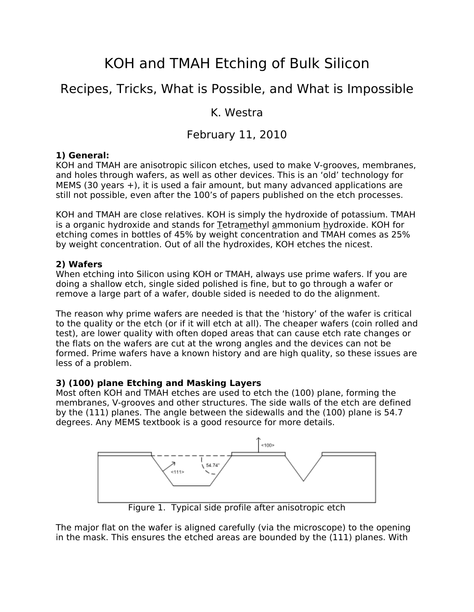# KOH and TMAH Etching of Bulk Silicon

# Recipes, Tricks, What is Possible, and What is Impossible

### K. Westra

## February 11, 2010

#### **1) General:**

KOH and TMAH are anisotropic silicon etches, used to make V-grooves, membranes, and holes through wafers, as well as other devices. This is an 'old' technology for MEMS (30 years +), it is used a fair amount, but many advanced applications are still not possible, even after the 100's of papers published on the etch processes.

KOH and TMAH are close relatives. KOH is simply the hydroxide of potassium. TMAH is a organic hydroxide and stands for Tetramethyl ammonium hydroxide. KOH for etching comes in bottles of 45% by weight concentration and TMAH comes as 25% by weight concentration. Out of all the hydroxides, KOH etches the nicest.

#### **2) Wafers**

When etching into Silicon using KOH or TMAH, always use prime wafers. If you are doing a shallow etch, single sided polished is fine, but to go through a wafer or remove a large part of a wafer, double sided is needed to do the alignment.

The reason why prime wafers are needed is that the 'history' of the wafer is critical to the quality or the etch (or if it will etch at all). The cheaper wafers (coin rolled and test), are lower quality with often doped areas that can cause etch rate changes or the flats on the wafers are cut at the wrong angles and the devices can not be formed. Prime wafers have a known history and are high quality, so these issues are less of a problem.

#### **3) (100) plane Etching and Masking Layers**

Most often KOH and TMAH etches are used to etch the (100) plane, forming the membranes, V-grooves and other structures. The side walls of the etch are defined by the (111) planes. The angle between the sidewalls and the (100) plane is 54.7 degrees. Any MEMS textbook is a good resource for more details.



Figure 1. Typical side profile after anisotropic etch

The major flat on the wafer is aligned carefully (via the microscope) to the opening in the mask. This ensures the etched areas are bounded by the (111) planes. With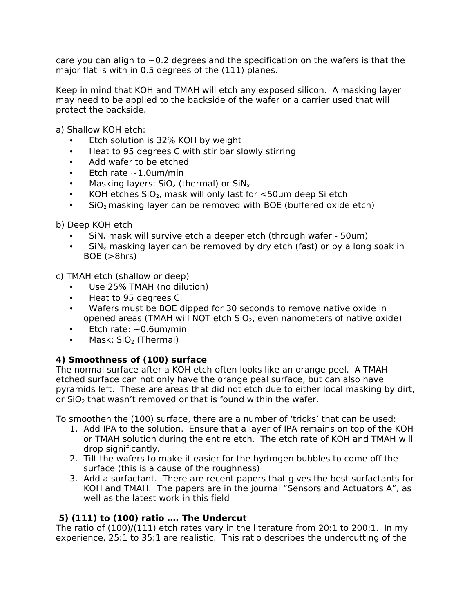care you can align to  $\sim$  0.2 degrees and the specification on the wafers is that the major flat is with in 0.5 degrees of the (111) planes.

Keep in mind that KOH and TMAH will etch any exposed silicon. A masking layer may need to be applied to the backside of the wafer or a carrier used that will protect the backside.

a) Shallow KOH etch:

- Etch solution is 32% KOH by weight
- Heat to 95 degrees C with stir bar slowly stirring
- Add wafer to be etched
- Etch rate  $\sim$ 1.0um/min
- Masking layers:  $SiO<sub>2</sub>$  (thermal) or  $SiN<sub>x</sub>$
- KOH etches  $SiO<sub>2</sub>$ , mask will only last for  $\lt$ 50um deep Si etch
- $SiO<sub>2</sub>$  masking layer can be removed with BOE (buffered oxide etch)

b) Deep KOH etch

- $\sin x$  mask will survive etch a deeper etch (through wafer 50um)
- $\sin x$  masking layer can be removed by dry etch (fast) or by a long soak in BOE (>8hrs)

c) TMAH etch (shallow or deep)

- Use 25% TMAH (no dilution)
- Heat to 95 degrees C
- Wafers must be BOE dipped for 30 seconds to remove native oxide in opened areas (TMAH will NOT etch  $SiO<sub>2</sub>$ , even nanometers of native oxide)
- Etch rate:  $\sim$  0.6um/min
- Mask:  $SiO<sub>2</sub>$  (Thermal)

#### **4) Smoothness of (100) surface**

The normal surface after a KOH etch often looks like an orange peel. A TMAH etched surface can not only have the orange peal surface, but can also have pyramids left. These are areas that did not etch due to either local masking by dirt, or  $SiO<sub>2</sub>$  that wasn't removed or that is found within the wafer.

To smoothen the (100) surface, there are a number of 'tricks' that can be used:

- 1. Add IPA to the solution. Ensure that a layer of IPA remains on top of the KOH or TMAH solution during the entire etch. The etch rate of KOH and TMAH will drop significantly.
- 2. Tilt the wafers to make it easier for the hydrogen bubbles to come off the surface (this is a cause of the roughness)
- 3. Add a surfactant. There are recent papers that gives the best surfactants for KOH and TMAH. The papers are in the journal "Sensors and Actuators A", as well as the latest work in this field

#### **5) (111) to (100) ratio …. The Undercut**

The ratio of (100)/(111) etch rates vary in the literature from 20:1 to 200:1. In my experience, 25:1 to 35:1 are realistic. This ratio describes the undercutting of the